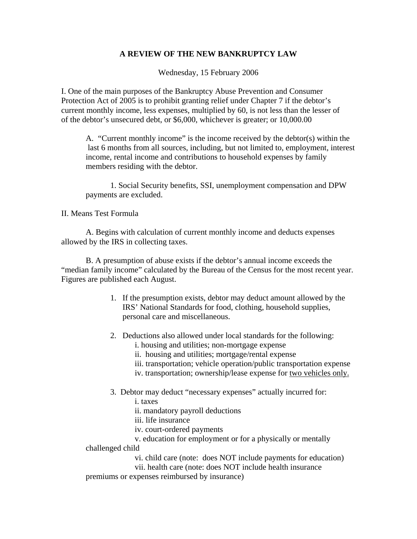## **A REVIEW OF THE NEW BANKRUPTCY LAW**

Wednesday, 15 February 2006

I. One of the main purposes of the Bankruptcy Abuse Prevention and Consumer Protection Act of 2005 is to prohibit granting relief under Chapter 7 if the debtor's current monthly income, less expenses, multiplied by 60, is not less than the lesser of of the debtor's unsecured debt, or \$6,000, whichever is greater; or 10,000.00

A. "Current monthly income" is the income received by the debtor(s) within the last 6 months from all sources, including, but not limited to, employment, interest income, rental income and contributions to household expenses by family members residing with the debtor.

 1. Social Security benefits, SSI, unemployment compensation and DPW payments are excluded.

## II. Means Test Formula

 A. Begins with calculation of current monthly income and deducts expenses allowed by the IRS in collecting taxes.

 B. A presumption of abuse exists if the debtor's annual income exceeds the "median family income" calculated by the Bureau of the Census for the most recent year. Figures are published each August.

- 1. If the presumption exists, debtor may deduct amount allowed by the IRS' National Standards for food, clothing, household supplies, personal care and miscellaneous.
- 2. Deductions also allowed under local standards for the following:
	- i. housing and utilities; non-mortgage expense
	- ii. housing and utilities; mortgage/rental expense
	- iii. transportation; vehicle operation/public transportation expense
	- iv. transportation; ownership/lease expense for two vehicles only.
- 3. Debtor may deduct "necessary expenses" actually incurred for:
	- i. taxes
	- ii. mandatory payroll deductions
	- iii. life insurance
	- iv. court-ordered payments
	- v. education for employment or for a physically or mentally
- challenged child
	- vi. child care (note: does NOT include payments for education)
	- vii. health care (note: does NOT include health insurance
- premiums or expenses reimbursed by insurance)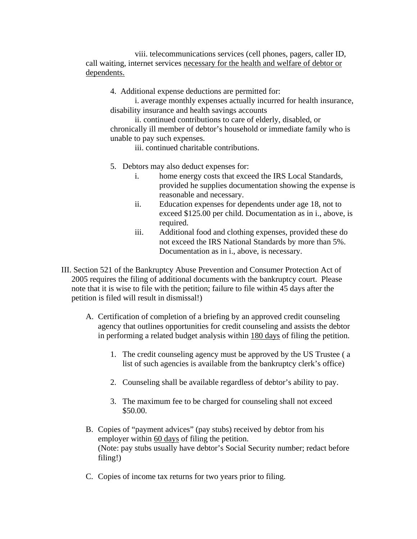viii. telecommunications services (cell phones, pagers, caller ID, call waiting, internet services necessary for the health and welfare of debtor or dependents.

4. Additional expense deductions are permitted for:

i. average monthly expenses actually incurred for health insurance, disability insurance and health savings accounts

ii. continued contributions to care of elderly, disabled, or chronically ill member of debtor's household or immediate family who is unable to pay such expenses.

iii. continued charitable contributions.

- 5. Debtors may also deduct expenses for:
	- i. home energy costs that exceed the IRS Local Standards, provided he supplies documentation showing the expense is reasonable and necessary.
	- ii. Education expenses for dependents under age 18, not to exceed \$125.00 per child. Documentation as in i., above, is required.
	- iii. Additional food and clothing expenses, provided these do not exceed the IRS National Standards by more than 5%. Documentation as in i., above, is necessary.
- III. Section 521 of the Bankruptcy Abuse Prevention and Consumer Protection Act of 2005 requires the filing of additional documents with the bankruptcy court. Please note that it is wise to file with the petition; failure to file within 45 days after the petition is filed will result in dismissal!)
	- A. Certification of completion of a briefing by an approved credit counseling agency that outlines opportunities for credit counseling and assists the debtor in performing a related budget analysis within 180 days of filing the petition.
		- 1. The credit counseling agency must be approved by the US Trustee ( a list of such agencies is available from the bankruptcy clerk's office)
		- 2. Counseling shall be available regardless of debtor's ability to pay.
		- 3. The maximum fee to be charged for counseling shall not exceed \$50.00.
	- B. Copies of "payment advices" (pay stubs) received by debtor from his employer within 60 days of filing the petition. (Note: pay stubs usually have debtor's Social Security number; redact before filing!)
	- C. Copies of income tax returns for two years prior to filing.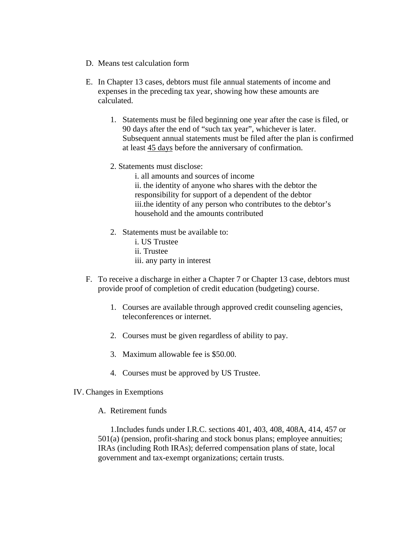- D. Means test calculation form
- E. In Chapter 13 cases, debtors must file annual statements of income and expenses in the preceding tax year, showing how these amounts are calculated.
	- 1. Statements must be filed beginning one year after the case is filed, or 90 days after the end of "such tax year", whichever is later. Subsequent annual statements must be filed after the plan is confirmed at least 45 days before the anniversary of confirmation.
	- 2. Statements must disclose:
		- i. all amounts and sources of income ii. the identity of anyone who shares with the debtor the

responsibility for support of a dependent of the debtor iii.the identity of any person who contributes to the debtor's household and the amounts contributed

- 2. Statements must be available to:
	- i. US Trustee
	- ii. Trustee
	- iii. any party in interest
- F. To receive a discharge in either a Chapter 7 or Chapter 13 case, debtors must provide proof of completion of credit education (budgeting) course.
	- 1. Courses are available through approved credit counseling agencies, teleconferences or internet.
	- 2. Courses must be given regardless of ability to pay.
	- 3. Maximum allowable fee is \$50.00.
	- 4. Courses must be approved by US Trustee.
- IV. Changes in Exemptions
	- A. Retirement funds

1.Includes funds under I.R.C. sections 401, 403, 408, 408A, 414, 457 or 501(a) (pension, profit-sharing and stock bonus plans; employee annuities; IRAs (including Roth IRAs); deferred compensation plans of state, local government and tax-exempt organizations; certain trusts.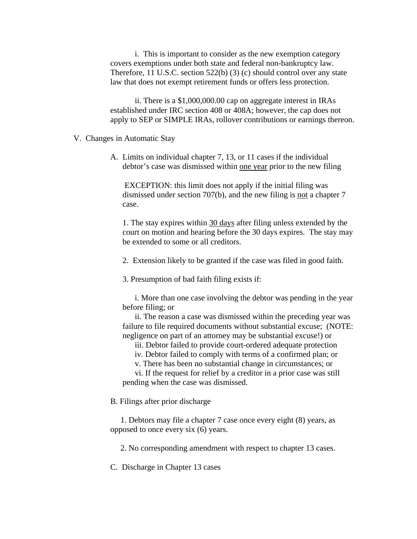i. This is important to consider as the new exemption category covers exemptions under both state and federal non-bankruptcy law. Therefore, 11 U.S.C. section 522(b) (3) (c) should control over any state law that does not exempt retirement funds or offers less protection.

ii. There is a \$1,000,000.00 cap on aggregate interest in IRAs established under IRC section 408 or 408A; however, the cap does not apply to SEP or SIMPLE IRAs, rollover contributions or earnings thereon.

## V. Changes in Automatic Stay

A. Limits on individual chapter 7, 13, or 11 cases if the individual debtor's case was dismissed within one year prior to the new filing

 EXCEPTION: this limit does not apply if the initial filing was dismissed under section 707(b), and the new filing is not a chapter 7 case.

1. The stay expires within 30 days after filing unless extended by the court on motion and hearing before the 30 days expires. The stay may be extended to some or all creditors.

2. Extension likely to be granted if the case was filed in good faith.

3. Presumption of bad faith filing exists if:

 i. More than one case involving the debtor was pending in the year before filing; or

 ii. The reason a case was dismissed within the preceding year was failure to file required documents without substantial excuse; (NOTE: negligence on part of an attorney may be substantial excuse!) or

iii. Debtor failed to provide court-ordered adequate protection

iv. Debtor failed to comply with terms of a confirmed plan; or

v. There has been no substantial change in circumstances; or

 vi. If the request for relief by a creditor in a prior case was still pending when the case was dismissed.

B. Filings after prior discharge

1. Debtors may file a chapter 7 case once every eight (8) years, as opposed to once every six (6) years.

2. No corresponding amendment with respect to chapter 13 cases.

C. Discharge in Chapter 13 cases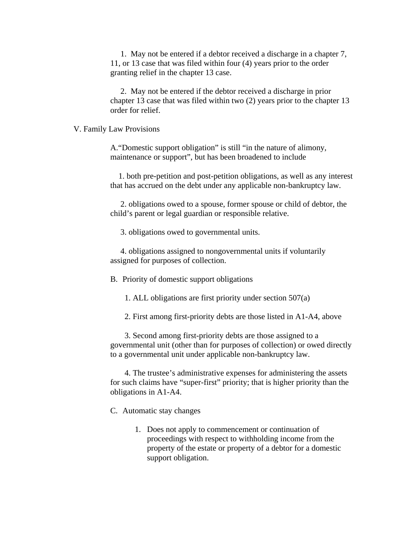1. May not be entered if a debtor received a discharge in a chapter 7, 11, or 13 case that was filed within four (4) years prior to the order granting relief in the chapter 13 case.

2. May not be entered if the debtor received a discharge in prior chapter 13 case that was filed within two (2) years prior to the chapter 13 order for relief.

## V. Family Law Provisions

A."Domestic support obligation" is still "in the nature of alimony, maintenance or support", but has been broadened to include

 1. both pre-petition and post-petition obligations, as well as any interest that has accrued on the debt under any applicable non-bankruptcy law.

 2. obligations owed to a spouse, former spouse or child of debtor, the child's parent or legal guardian or responsible relative.

3. obligations owed to governmental units.

 4. obligations assigned to nongovernmental units if voluntarily assigned for purposes of collection.

B. Priority of domestic support obligations

1. ALL obligations are first priority under section 507(a)

2. First among first-priority debts are those listed in A1-A4, above

3. Second among first-priority debts are those assigned to a governmental unit (other than for purposes of collection) or owed directly to a governmental unit under applicable non-bankruptcy law.

4. The trustee's administrative expenses for administering the assets for such claims have "super-first" priority; that is higher priority than the obligations in A1-A4.

C. Automatic stay changes

1. Does not apply to commencement or continuation of proceedings with respect to withholding income from the property of the estate or property of a debtor for a domestic support obligation.